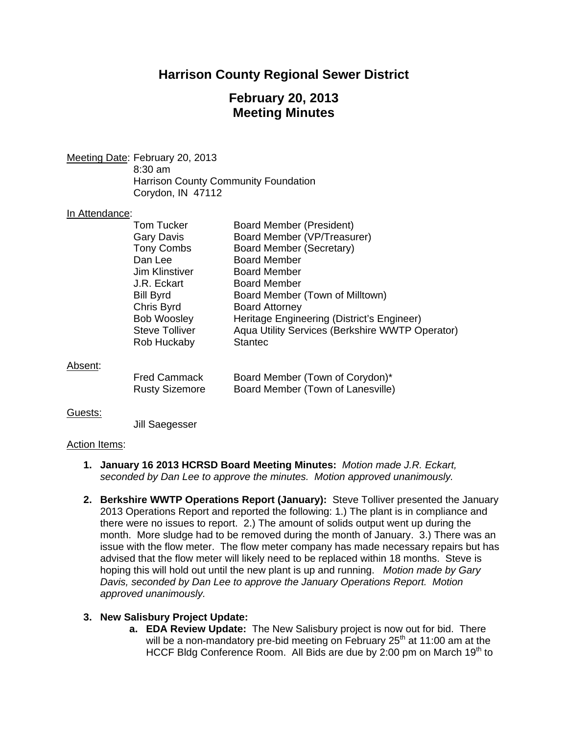# **Harrison County Regional Sewer District**

# **February 20, 2013 Meeting Minutes**

Meeting Date: February 20, 2013 8:30 am Harrison County Community Foundation Corydon, IN 47112

### In Attendance:

|                     | Tom Tucker            | <b>Board Member (President)</b>                 |
|---------------------|-----------------------|-------------------------------------------------|
|                     | Gary Davis            | Board Member (VP/Treasurer)                     |
|                     | <b>Tony Combs</b>     | <b>Board Member (Secretary)</b>                 |
|                     | Dan Lee               | <b>Board Member</b>                             |
|                     | <b>Jim Klinstiver</b> | <b>Board Member</b>                             |
|                     | J.R. Eckart           | <b>Board Member</b>                             |
|                     | <b>Bill Byrd</b>      | Board Member (Town of Milltown)                 |
|                     | Chris Byrd            | <b>Board Attorney</b>                           |
|                     | <b>Bob Woosley</b>    | Heritage Engineering (District's Engineer)      |
|                     | <b>Steve Tolliver</b> | Aqua Utility Services (Berkshire WWTP Operator) |
|                     | Rob Huckaby           | <b>Stantec</b>                                  |
| Ahsent <sup>.</sup> |                       |                                                 |

#### Absent:

| <b>Fred Cammack</b>   | Board Member (Town of Corydon)*   |
|-----------------------|-----------------------------------|
| <b>Rusty Sizemore</b> | Board Member (Town of Lanesville) |

#### Guests:

Jill Saegesser

#### Action Items:

- **1. January 16 2013 HCRSD Board Meeting Minutes:** *Motion made J.R. Eckart, seconded by Dan Lee to approve the minutes. Motion approved unanimously.*
- **2. Berkshire WWTP Operations Report (January):** Steve Tolliver presented the January 2013 Operations Report and reported the following: 1.) The plant is in compliance and there were no issues to report. 2.) The amount of solids output went up during the month. More sludge had to be removed during the month of January. 3.) There was an issue with the flow meter. The flow meter company has made necessary repairs but has advised that the flow meter will likely need to be replaced within 18 months. Steve is hoping this will hold out until the new plant is up and running. *Motion made by Gary Davis, seconded by Dan Lee to approve the January Operations Report. Motion approved unanimously.*

### **3. New Salisbury Project Update:**

**a. EDA Review Update:** The New Salisbury project is now out for bid. There will be a non-mandatory pre-bid meeting on February  $25<sup>th</sup>$  at 11:00 am at the HCCF Bldg Conference Room. All Bids are due by 2:00 pm on March 19<sup>th</sup> to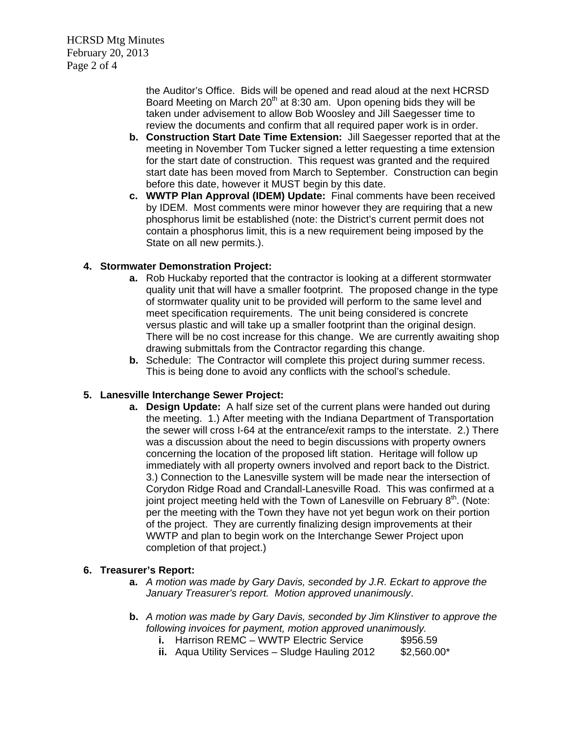HCRSD Mtg Minutes February 20, 2013 Page 2 of 4

> the Auditor's Office. Bids will be opened and read aloud at the next HCRSD Board Meeting on March  $20<sup>th</sup>$  at 8:30 am. Upon opening bids they will be taken under advisement to allow Bob Woosley and Jill Saegesser time to review the documents and confirm that all required paper work is in order.

- **b. Construction Start Date Time Extension:** Jill Saegesser reported that at the meeting in November Tom Tucker signed a letter requesting a time extension for the start date of construction. This request was granted and the required start date has been moved from March to September. Construction can begin before this date, however it MUST begin by this date.
- **c. WWTP Plan Approval (IDEM) Update:** Final comments have been received by IDEM. Most comments were minor however they are requiring that a new phosphorus limit be established (note: the District's current permit does not contain a phosphorus limit, this is a new requirement being imposed by the State on all new permits.).

## **4. Stormwater Demonstration Project:**

- **a.** Rob Huckaby reported that the contractor is looking at a different stormwater quality unit that will have a smaller footprint. The proposed change in the type of stormwater quality unit to be provided will perform to the same level and meet specification requirements. The unit being considered is concrete versus plastic and will take up a smaller footprint than the original design. There will be no cost increase for this change. We are currently awaiting shop drawing submittals from the Contractor regarding this change.
- **b.** Schedule: The Contractor will complete this project during summer recess. This is being done to avoid any conflicts with the school's schedule.

## **5. Lanesville Interchange Sewer Project:**

**a. Design Update:** A half size set of the current plans were handed out during the meeting. 1.) After meeting with the Indiana Department of Transportation the sewer will cross I-64 at the entrance/exit ramps to the interstate. 2.) There was a discussion about the need to begin discussions with property owners concerning the location of the proposed lift station. Heritage will follow up immediately with all property owners involved and report back to the District. 3.) Connection to the Lanesville system will be made near the intersection of Corydon Ridge Road and Crandall-Lanesville Road. This was confirmed at a joint project meeting held with the Town of Lanesville on February  $8<sup>th</sup>$ . (Note: per the meeting with the Town they have not yet begun work on their portion of the project. They are currently finalizing design improvements at their WWTP and plan to begin work on the Interchange Sewer Project upon completion of that project.)

### **6. Treasurer's Report:**

- **a.** *A motion was made by Gary Davis, seconded by J.R. Eckart to approve the January Treasurer's report. Motion approved unanimously*.
- **b.** *A motion was made by Gary Davis, seconded by Jim Klinstiver to approve the following invoices for payment, motion approved unanimously.* 
	- **i.** Harrison REMC WWTP Electric Service \$956.59
	- **ii.** Aqua Utility Services Sludge Hauling 2012 \$2,560.00\*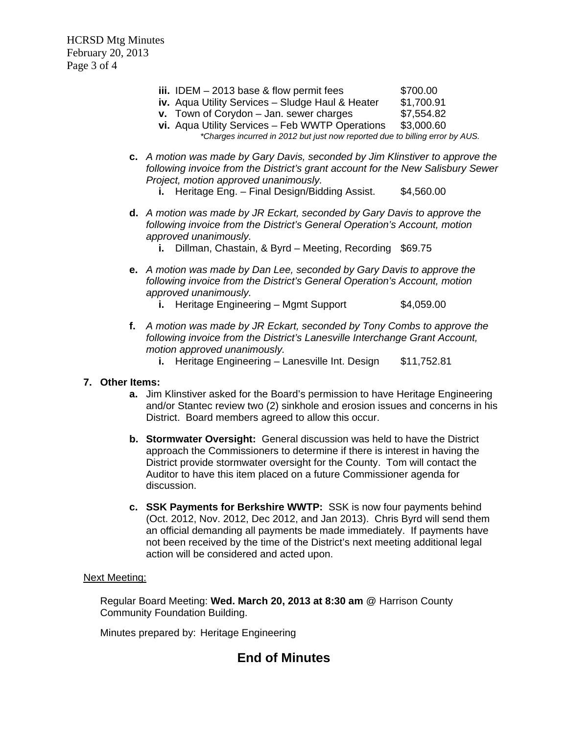HCRSD Mtg Minutes February 20, 2013 Page 3 of 4

- $\mathbf{ii}$ . **IDEM** 2013 base & flow permit fees  $$700.00$
- **iv.** Aqua Utility Services Sludge Haul & Heater \$1,700.91
- **v.** Town of Corvdon Jan. sewer charges **\$7,554.82**
- **vi.** Aqua Utility Services Feb WWTP Operations \$3,000.60 *\*Charges incurred in 2012 but just now reported due to billing error by AUS.*
- **c.** *A motion was made by Gary Davis, seconded by Jim Klinstiver to approve the following invoice from the District's grant account for the New Salisbury Sewer Project, motion approved unanimously.* 
	- **i.** Heritage Eng. Final Design/Bidding Assist. \$4,560.00
- **d.** *A motion was made by JR Eckart, seconded by Gary Davis to approve the following invoice from the District's General Operation's Account, motion approved unanimously.* 
	- **i.** Dillman, Chastain, & Byrd Meeting, Recording \$69.75
- **e.** *A motion was made by Dan Lee, seconded by Gary Davis to approve the following invoice from the District's General Operation's Account, motion approved unanimously.* 
	- **i.** Heritage Engineering Mgmt Support \$4,059.00
- **f.** *A motion was made by JR Eckart, seconded by Tony Combs to approve the following invoice from the District's Lanesville Interchange Grant Account, motion approved unanimously.* 
	- **i.** Heritage Engineering Lanesville Int. Design \$11,752.81
- **7. Other Items:** 
	- **a.** Jim Klinstiver asked for the Board's permission to have Heritage Engineering and/or Stantec review two (2) sinkhole and erosion issues and concerns in his District. Board members agreed to allow this occur.
	- **b. Stormwater Oversight:** General discussion was held to have the District approach the Commissioners to determine if there is interest in having the District provide stormwater oversight for the County. Tom will contact the Auditor to have this item placed on a future Commissioner agenda for discussion.
	- **c. SSK Payments for Berkshire WWTP:** SSK is now four payments behind (Oct. 2012, Nov. 2012, Dec 2012, and Jan 2013). Chris Byrd will send them an official demanding all payments be made immediately. If payments have not been received by the time of the District's next meeting additional legal action will be considered and acted upon.

### Next Meeting:

Regular Board Meeting: **Wed. March 20, 2013 at 8:30 am** @ Harrison County Community Foundation Building.

Minutes prepared by: Heritage Engineering

## **End of Minutes**